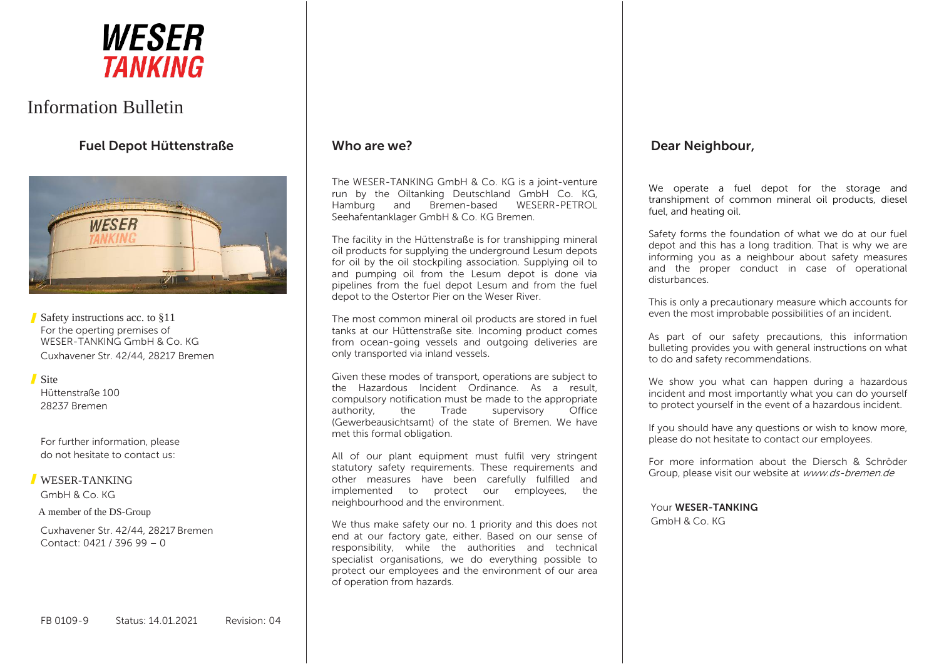

# Information Bulletin

**Fuel Depot Hüttenstraße**



Safety instructions acc. to §11 For the operting premises of WESER-TANKING GmbH & Co. KG Cuxhavener Str. 42/44, 28217 Bremen

Site Hüttenstraße 100 28237 Bremen

For further information, please do not hesitate to contact us:

#### WESER-TANKING

GmbH & Co. KG

A member of the DS-Group

Cuxhavener Str. 42/44, 28217 Bremen Contact: 0421 / 396 99 – 0

# **Who are we?**

The WESER-TANKING GmbH & Co. KG is a joint-venture run by the Oiltanking Deutschland GmbH Co. KG, Hamburg and Bremen-based WESERR-PETROL Seehafentanklager GmbH & Co. KG Bremen.

The facility in the Hüttenstraße is for transhipping mineral oil products for supplying the underground Lesum depots for oil by the oil stockpiling association. Supplying oil to and pumping oil from the Lesum depot is done via pipelines from the fuel depot Lesum and from the fuel depot to the Ostertor Pier on the Weser River.

The most common mineral oil products are stored in fuel tanks at our Hüttenstraße site. Incoming product comes from ocean-going vessels and outgoing deliveries are only transported via inland vessels.

Given these modes of transport, operations are subject to the Hazardous Incident Ordinance. As a result, compulsory notification must be made to the appropriate authority, the Trade supervisory Office (Gewerbeausichtsamt) of the state of Bremen. We have met this formal obligation.

All of our plant equipment must fulfil very stringent statutory safety requirements. These requirements and other measures have been carefully fulfilled and implemented to protect our employees, the neighbourhood and the environment.

We thus make safety our no. 1 priority and this does not end at our factory gate, either. Based on our sense of responsibility, while the authorities and technical specialist organisations, we do everything possible to protect our employees and the environment of our area of operation from hazards.

# **Dear Neighbour,**

We operate a fuel depot for the storage and transhipment of common mineral oil products, diesel fuel, and heating oil.

Safety forms the foundation of what we do at our fuel depot and this has a long tradition. That is why we are informing you as a neighbour about safety measures and the proper conduct in case of operational disturbances.

This is only a precautionary measure which accounts for even the most improbable possibilities of an incident.

As part of our safety precautions, this information bulleting provides you with general instructions on what to do and safety recommendations.

We show you what can happen during a hazardous incident and most importantly what you can do yourself to protect yourself in the event of a hazardous incident.

If you should have any questions or wish to know more, please do not hesitate to contact our employees.

For more information about the Diersch & Schröder Group, please visit our website at www.ds-bremen.de

Your **WESER-TANKING**

GmbH & Co. KG